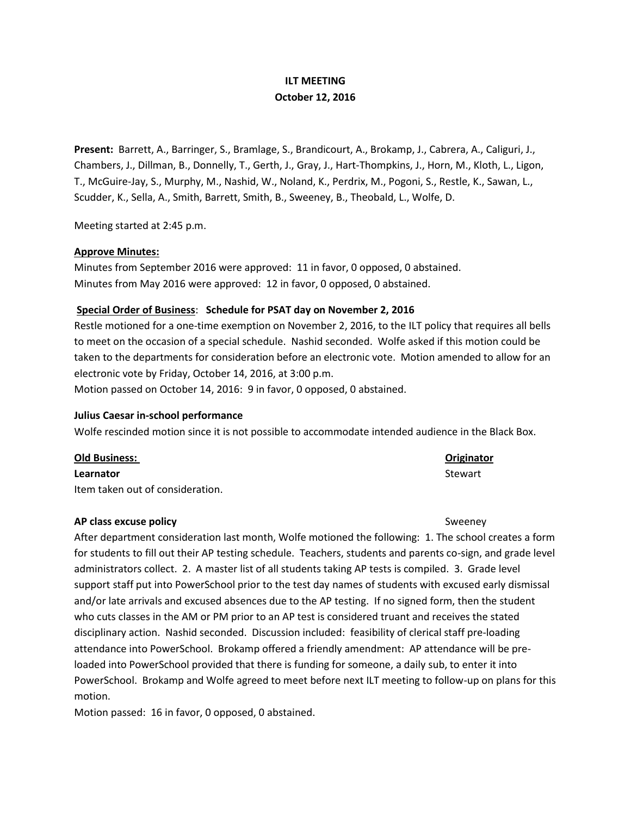## **ILT MEETING October 12, 2016**

**Present:** Barrett, A., Barringer, S., Bramlage, S., Brandicourt, A., Brokamp, J., Cabrera, A., Caliguri, J., Chambers, J., Dillman, B., Donnelly, T., Gerth, J., Gray, J., Hart-Thompkins, J., Horn, M., Kloth, L., Ligon, T., McGuire-Jay, S., Murphy, M., Nashid, W., Noland, K., Perdrix, M., Pogoni, S., Restle, K., Sawan, L., Scudder, K., Sella, A., Smith, Barrett, Smith, B., Sweeney, B., Theobald, L., Wolfe, D.

Meeting started at 2:45 p.m.

## **Approve Minutes:**

Minutes from September 2016 were approved: 11 in favor, 0 opposed, 0 abstained. Minutes from May 2016 were approved: 12 in favor, 0 opposed, 0 abstained.

## **Special Order of Business**: **Schedule for PSAT day on November 2, 2016**

Restle motioned for a one-time exemption on November 2, 2016, to the ILT policy that requires all bells to meet on the occasion of a special schedule. Nashid seconded. Wolfe asked if this motion could be taken to the departments for consideration before an electronic vote. Motion amended to allow for an electronic vote by Friday, October 14, 2016, at 3:00 p.m.

Motion passed on October 14, 2016: 9 in favor, 0 opposed, 0 abstained.

## **Julius Caesar in-school performance**

Wolfe rescinded motion since it is not possible to accommodate intended audience in the Black Box.

## **Old Business: Originator**

## **Learnator** Stewart

Item taken out of consideration.

## **AP class excuse policy Sweeney** Sweeney

After department consideration last month, Wolfe motioned the following: 1. The school creates a form for students to fill out their AP testing schedule. Teachers, students and parents co-sign, and grade level administrators collect. 2. A master list of all students taking AP tests is compiled. 3. Grade level support staff put into PowerSchool prior to the test day names of students with excused early dismissal and/or late arrivals and excused absences due to the AP testing. If no signed form, then the student who cuts classes in the AM or PM prior to an AP test is considered truant and receives the stated disciplinary action. Nashid seconded. Discussion included: feasibility of clerical staff pre-loading attendance into PowerSchool. Brokamp offered a friendly amendment: AP attendance will be preloaded into PowerSchool provided that there is funding for someone, a daily sub, to enter it into PowerSchool. Brokamp and Wolfe agreed to meet before next ILT meeting to follow-up on plans for this motion.

Motion passed: 16 in favor, 0 opposed, 0 abstained.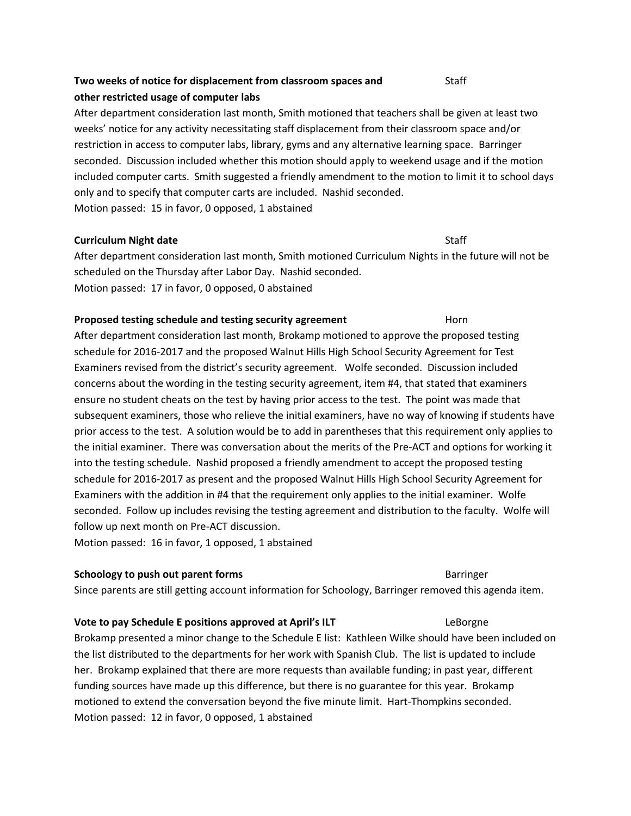# **Two weeks of notice for displacement from classroom spaces and** Staff **other restricted usage of computer labs**

After department consideration last month, Smith motioned that teachers shall be given at least two weeks' notice for any activity necessitating staff displacement from their classroom space and/or restriction in access to computer labs, library, gyms and any alternative learning space. Barringer seconded. Discussion included whether this motion should apply to weekend usage and if the motion included computer carts. Smith suggested a friendly amendment to the motion to limit it to school days only and to specify that computer carts are included. Nashid seconded. Motion passed: 15 in favor, 0 opposed, 1 abstained

## **Curriculum Night date** Staff

After department consideration last month, Smith motioned Curriculum Nights in the future will not be scheduled on the Thursday after Labor Day. Nashid seconded. Motion passed: 17 in favor, 0 opposed, 0 abstained

## **Proposed testing schedule and testing security agreement** Horn

After department consideration last month, Brokamp motioned to approve the proposed testing schedule for 2016-2017 and the proposed Walnut Hills High School Security Agreement for Test Examiners revised from the district's security agreement. Wolfe seconded. Discussion included concerns about the wording in the testing security agreement, item #4, that stated that examiners ensure no student cheats on the test by having prior access to the test. The point was made that subsequent examiners, those who relieve the initial examiners, have no way of knowing if students have prior access to the test. A solution would be to add in parentheses that this requirement only applies to the initial examiner. There was conversation about the merits of the Pre-ACT and options for working it into the testing schedule. Nashid proposed a friendly amendment to accept the proposed testing schedule for 2016-2017 as present and the proposed Walnut Hills High School Security Agreement for Examiners with the addition in #4 that the requirement only applies to the initial examiner. Wolfe seconded. Follow up includes revising the testing agreement and distribution to the faculty. Wolfe will follow up next month on Pre-ACT discussion.

Motion passed: 16 in favor, 1 opposed, 1 abstained

## **Schoology to push out parent forms** Barringer **Barringer** Barringer

Since parents are still getting account information for Schoology, Barringer removed this agenda item.

## **Vote to pay Schedule E positions approved at April's ILT Frame Constructs LeBorgne**

Brokamp presented a minor change to the Schedule E list: Kathleen Wilke should have been included on the list distributed to the departments for her work with Spanish Club. The list is updated to include her. Brokamp explained that there are more requests than available funding; in past year, different funding sources have made up this difference, but there is no guarantee for this year. Brokamp motioned to extend the conversation beyond the five minute limit. Hart-Thompkins seconded. Motion passed: 12 in favor, 0 opposed, 1 abstained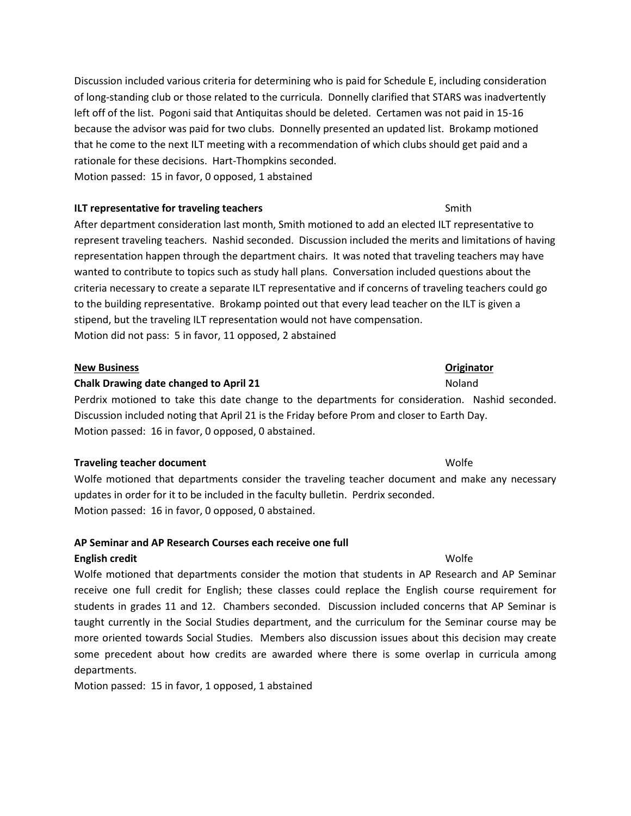Discussion included various criteria for determining who is paid for Schedule E, including consideration of long-standing club or those related to the curricula. Donnelly clarified that STARS was inadvertently left off of the list. Pogoni said that Antiquitas should be deleted. Certamen was not paid in 15-16 because the advisor was paid for two clubs. Donnelly presented an updated list. Brokamp motioned that he come to the next ILT meeting with a recommendation of which clubs should get paid and a rationale for these decisions. Hart-Thompkins seconded. Motion passed: 15 in favor, 0 opposed, 1 abstained

## **ILT representative for traveling teachers** Smith

After department consideration last month, Smith motioned to add an elected ILT representative to represent traveling teachers. Nashid seconded. Discussion included the merits and limitations of having representation happen through the department chairs. It was noted that traveling teachers may have wanted to contribute to topics such as study hall plans. Conversation included questions about the criteria necessary to create a separate ILT representative and if concerns of traveling teachers could go to the building representative. Brokamp pointed out that every lead teacher on the ILT is given a stipend, but the traveling ILT representation would not have compensation. Motion did not pass: 5 in favor, 11 opposed, 2 abstained

## **New Business Originator**

## **Chalk Drawing date changed to April 21** Noland Noland

Perdrix motioned to take this date change to the departments for consideration. Nashid seconded. Discussion included noting that April 21 is the Friday before Prom and closer to Earth Day. Motion passed: 16 in favor, 0 opposed, 0 abstained.

## **Traveling teacher document** Wolfe

Wolfe motioned that departments consider the traveling teacher document and make any necessary updates in order for it to be included in the faculty bulletin. Perdrix seconded. Motion passed: 16 in favor, 0 opposed, 0 abstained.

## **AP Seminar and AP Research Courses each receive one full**

## **English credit** Wolfe

Wolfe motioned that departments consider the motion that students in AP Research and AP Seminar receive one full credit for English; these classes could replace the English course requirement for students in grades 11 and 12. Chambers seconded. Discussion included concerns that AP Seminar is taught currently in the Social Studies department, and the curriculum for the Seminar course may be more oriented towards Social Studies. Members also discussion issues about this decision may create some precedent about how credits are awarded where there is some overlap in curricula among departments.

Motion passed: 15 in favor, 1 opposed, 1 abstained